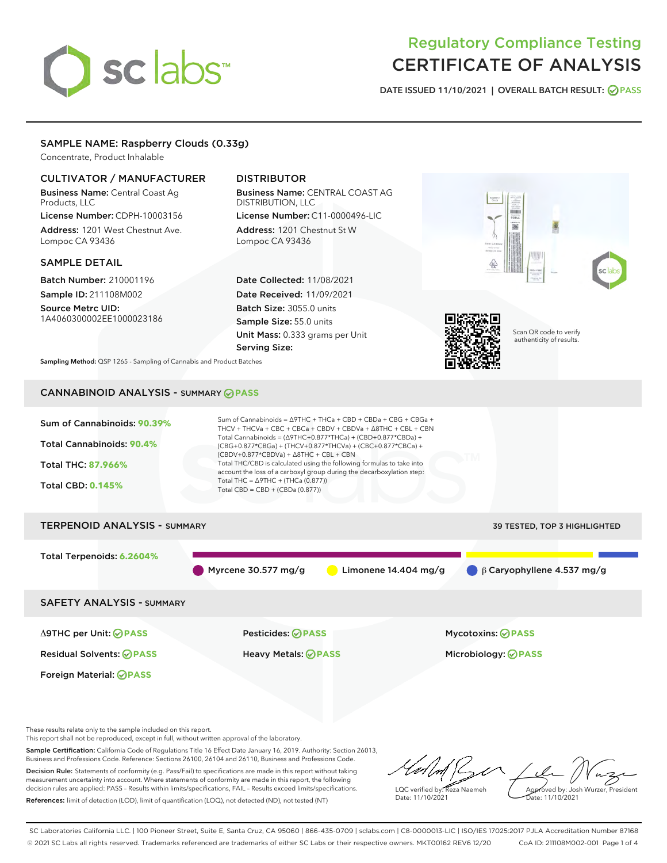# sclabs<sup>\*</sup>

# Regulatory Compliance Testing CERTIFICATE OF ANALYSIS

DATE ISSUED 11/10/2021 | OVERALL BATCH RESULT: @ PASS

# SAMPLE NAME: Raspberry Clouds (0.33g)

Concentrate, Product Inhalable

#### CULTIVATOR / MANUFACTURER

Business Name: Central Coast Ag Products, LLC

License Number: CDPH-10003156 Address: 1201 West Chestnut Ave. Lompoc CA 93436

#### SAMPLE DETAIL

Batch Number: 210001196 Sample ID: 211108M002

Source Metrc UID: 1A4060300002EE1000023186

# DISTRIBUTOR

Business Name: CENTRAL COAST AG DISTRIBUTION, LLC License Number: C11-0000496-LIC

Address: 1201 Chestnut St W Lompoc CA 93436

Date Collected: 11/08/2021 Date Received: 11/09/2021 Batch Size: 3055.0 units Sample Size: 55.0 units Unit Mass: 0.333 grams per Unit Serving Size:





Scan QR code to verify authenticity of results.

Sampling Method: QSP 1265 - Sampling of Cannabis and Product Batches

# CANNABINOID ANALYSIS - SUMMARY **PASS**



These results relate only to the sample included on this report.

This report shall not be reproduced, except in full, without written approval of the laboratory.

Sample Certification: California Code of Regulations Title 16 Effect Date January 16, 2019. Authority: Section 26013, Business and Professions Code. Reference: Sections 26100, 26104 and 26110, Business and Professions Code. Decision Rule: Statements of conformity (e.g. Pass/Fail) to specifications are made in this report without taking

measurement uncertainty into account. Where statements of conformity are made in this report, the following decision rules are applied: PASS – Results within limits/specifications, FAIL – Results exceed limits/specifications. References: limit of detection (LOD), limit of quantification (LOQ), not detected (ND), not tested (NT)

LQC verified by: Reza Naemeh Date: 11/10/2021 Approved by: Josh Wurzer, President Date: 11/10/2021

SC Laboratories California LLC. | 100 Pioneer Street, Suite E, Santa Cruz, CA 95060 | 866-435-0709 | sclabs.com | C8-0000013-LIC | ISO/IES 17025:2017 PJLA Accreditation Number 87168 © 2021 SC Labs all rights reserved. Trademarks referenced are trademarks of either SC Labs or their respective owners. MKT00162 REV6 12/20 CoA ID: 211108M002-001 Page 1 of 4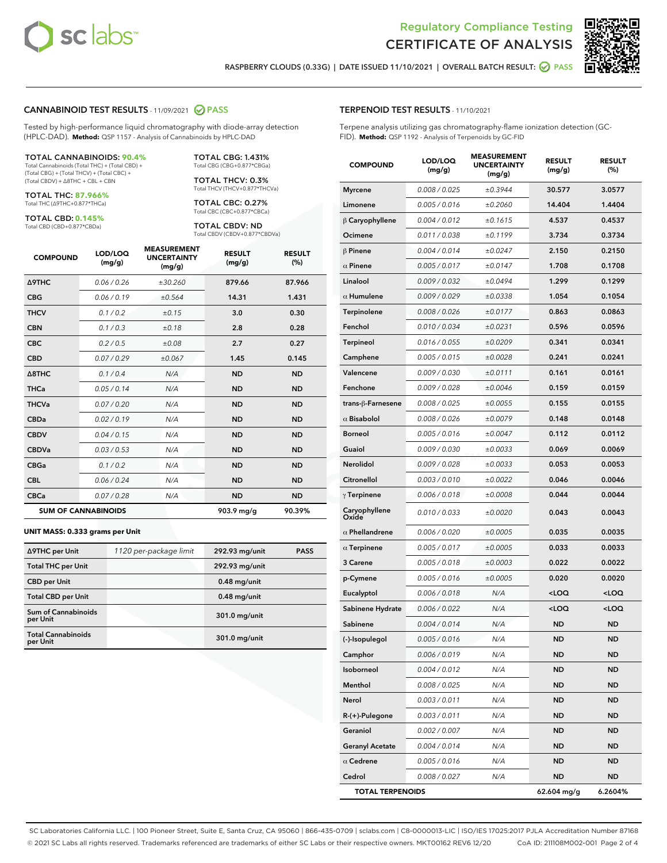



RASPBERRY CLOUDS (0.33G) | DATE ISSUED 11/10/2021 | OVERALL BATCH RESULT:  $\bigcirc$  PASS

#### CANNABINOID TEST RESULTS - 11/09/2021 2 PASS

Tested by high-performance liquid chromatography with diode-array detection (HPLC-DAD). **Method:** QSP 1157 - Analysis of Cannabinoids by HPLC-DAD

#### TOTAL CANNABINOIDS: **90.4%**

Total Cannabinoids (Total THC) + (Total CBD) + (Total CBG) + (Total THCV) + (Total CBC) + (Total CBDV) + ∆8THC + CBL + CBN

TOTAL THC: **87.966%** Total THC (∆9THC+0.877\*THCa)

TOTAL CBD: **0.145%** Total CBD (CBD+0.877\*CBDa)

TOTAL CBG: 1.431% Total CBG (CBG+0.877\*CBGa)

TOTAL THCV: 0.3% Total THCV (THCV+0.877\*THCVa)

TOTAL CBC: 0.27% Total CBC (CBC+0.877\*CBCa)

TOTAL CBDV: ND Total CBDV (CBDV+0.877\*CBDVa)

| <b>COMPOUND</b>  | LOD/LOQ<br>(mg/g)          | <b>MEASUREMENT</b><br><b>UNCERTAINTY</b><br>(mg/g) | <b>RESULT</b><br>(mg/g) | <b>RESULT</b><br>(%) |
|------------------|----------------------------|----------------------------------------------------|-------------------------|----------------------|
| <b>A9THC</b>     | 0.06/0.26                  | ±30.260                                            | 879.66                  | 87.966               |
| <b>CBG</b>       | 0.06/0.19                  | ±0.564                                             | 14.31                   | 1.431                |
| <b>THCV</b>      | 0.1 / 0.2                  | ±0.15                                              | 3.0                     | 0.30                 |
| <b>CBN</b>       | 0.1/0.3                    | ±0.18                                              | 2.8                     | 0.28                 |
| <b>CBC</b>       | 0.2 / 0.5                  | ±0.08                                              | 2.7                     | 0.27                 |
| <b>CBD</b>       | 0.07/0.29                  | ±0.067                                             | 1.45                    | 0.145                |
| $\triangle$ 8THC | 0.1 / 0.4                  | N/A                                                | <b>ND</b>               | <b>ND</b>            |
| <b>THCa</b>      | 0.05/0.14                  | N/A                                                | <b>ND</b>               | <b>ND</b>            |
| <b>THCVa</b>     | 0.07 / 0.20                | N/A                                                | <b>ND</b>               | <b>ND</b>            |
| <b>CBDa</b>      | 0.02/0.19                  | N/A                                                | <b>ND</b>               | <b>ND</b>            |
| <b>CBDV</b>      | 0.04/0.15                  | N/A                                                | <b>ND</b>               | <b>ND</b>            |
| <b>CBDVa</b>     | 0.03 / 0.53                | N/A                                                | <b>ND</b>               | <b>ND</b>            |
| <b>CBGa</b>      | 0.1 / 0.2                  | N/A                                                | <b>ND</b>               | <b>ND</b>            |
| <b>CBL</b>       | 0.06 / 0.24                | N/A                                                | <b>ND</b>               | <b>ND</b>            |
| <b>CBCa</b>      | 0.07/0.28                  | N/A                                                | <b>ND</b>               | <b>ND</b>            |
|                  | <b>SUM OF CANNABINOIDS</b> |                                                    | 903.9 mg/g              | 90.39%               |

#### **UNIT MASS: 0.333 grams per Unit**

| ∆9THC per Unit                         | 1120 per-package limit | 292.93 mg/unit | <b>PASS</b> |
|----------------------------------------|------------------------|----------------|-------------|
| <b>Total THC per Unit</b>              |                        | 292.93 mg/unit |             |
| <b>CBD</b> per Unit                    |                        | $0.48$ mg/unit |             |
| <b>Total CBD per Unit</b>              |                        | $0.48$ mg/unit |             |
| <b>Sum of Cannabinoids</b><br>per Unit |                        | 301.0 mg/unit  |             |
| <b>Total Cannabinoids</b><br>per Unit  |                        | 301.0 mg/unit  |             |

| <b>COMPOUND</b>         | LOD/LOQ<br>(mg/g) | <b>MEASUREMENT</b><br><b>UNCERTAINTY</b><br>(mg/g) | <b>RESULT</b><br>(mg/g)                         | <b>RESULT</b><br>(%) |
|-------------------------|-------------------|----------------------------------------------------|-------------------------------------------------|----------------------|
| <b>Myrcene</b>          | 0.008 / 0.025     | ±0.3944                                            | 30.577                                          | 3.0577               |
| Limonene                | 0.005 / 0.016     | ±0.2060                                            | 14.404                                          | 1.4404               |
| $\upbeta$ Caryophyllene | 0.004 / 0.012     | ±0.1615                                            | 4.537                                           | 0.4537               |
| Ocimene                 | 0.011 / 0.038     | ±0.1199                                            | 3.734                                           | 0.3734               |
| $\beta$ Pinene          | 0.004 / 0.014     | ±0.0247                                            | 2.150                                           | 0.2150               |
| $\alpha$ Pinene         | 0.005 / 0.017     | ±0.0147                                            | 1.708                                           | 0.1708               |
| Linalool                | 0.009 / 0.032     | ±0.0494                                            | 1.299                                           | 0.1299               |
| $\alpha$ Humulene       | 0.009 / 0.029     | ±0.0338                                            | 1.054                                           | 0.1054               |
| Terpinolene             | 0.008 / 0.026     | ±0.0177                                            | 0.863                                           | 0.0863               |
| Fenchol                 | 0.010 / 0.034     | ±0.0231                                            | 0.596                                           | 0.0596               |
| Terpineol               | 0.016 / 0.055     | ±0.0209                                            | 0.341                                           | 0.0341               |
| Camphene                | 0.005 / 0.015     | ±0.0028                                            | 0.241                                           | 0.0241               |
| Valencene               | 0.009 / 0.030     | ±0.0111                                            | 0.161                                           | 0.0161               |
| Fenchone                | 0.009 / 0.028     | ±0.0046                                            | 0.159                                           | 0.0159               |
| trans-ß-Farnesene       | 0.008 / 0.025     | ±0.0055                                            | 0.155                                           | 0.0155               |
| $\alpha$ Bisabolol      | 0.008 / 0.026     | ±0.0079                                            | 0.148                                           | 0.0148               |
| <b>Borneol</b>          | 0.005 / 0.016     | ±0.0047                                            | 0.112                                           | 0.0112               |
| Guaiol                  | 0.009 / 0.030     | ±0.0033                                            | 0.069                                           | 0.0069               |
| Nerolidol               | 0.009 / 0.028     | ±0.0033                                            | 0.053                                           | 0.0053               |
| Citronellol             | 0.003 / 0.010     | ±0.0022                                            | 0.046                                           | 0.0046               |
| $\gamma$ Terpinene      | 0.006 / 0.018     | ±0.0008                                            | 0.044                                           | 0.0044               |
| Caryophyllene<br>Oxide  | 0.010 / 0.033     | ±0.0020                                            | 0.043                                           | 0.0043               |
| $\alpha$ Phellandrene   | 0.006 / 0.020     | ±0.0005                                            | 0.035                                           | 0.0035               |
| $\alpha$ Terpinene      | 0.005 / 0.017     | ±0.0005                                            | 0.033                                           | 0.0033               |
| 3 Carene                | 0.005 / 0.018     | ±0.0003                                            | 0.022                                           | 0.0022               |
| p-Cymene                | 0.005 / 0.016     | ±0.0005                                            | 0.020                                           | 0.0020               |
| Eucalyptol              | 0.006 / 0.018     | N/A                                                | <loq< th=""><th><loq< th=""></loq<></th></loq<> | <loq< th=""></loq<>  |
| Sabinene Hydrate        | 0.006 / 0.022     | N/A                                                | <loq< th=""><th><loq< th=""></loq<></th></loq<> | <loq< th=""></loq<>  |
| Sabinene                | 0.004 / 0.014     | N/A                                                | <b>ND</b>                                       | ND                   |
| (-)-Isopulegol          | 0.005 / 0.016     | N/A                                                | <b>ND</b>                                       | ND                   |
| Camphor                 | 0.006 / 0.019     | N/A                                                | ND                                              | ND                   |
| Isoborneol              | 0.004 / 0.012     | N/A                                                | <b>ND</b>                                       | ND                   |
| Menthol                 | 0.008 / 0.025     | N/A                                                | ND                                              | ND                   |
| Nerol                   | 0.003 / 0.011     | N/A                                                | ND                                              | <b>ND</b>            |
| R-(+)-Pulegone          | 0.003 / 0.011     | N/A                                                | ND                                              | ND                   |
| Geraniol                | 0.002 / 0.007     | N/A                                                | ND                                              | ND                   |
| <b>Geranyl Acetate</b>  | 0.004 / 0.014     | N/A                                                | ND                                              | ND                   |
| $\alpha$ Cedrene        | 0.005 / 0.016     | N/A                                                | ND                                              | ND                   |
| Cedrol                  | 0.008 / 0.027     | N/A                                                | ND                                              | ND                   |

TOTAL TERPENOIDS 62.604 mg/g 6.2604%

SC Laboratories California LLC. | 100 Pioneer Street, Suite E, Santa Cruz, CA 95060 | 866-435-0709 | sclabs.com | C8-0000013-LIC | ISO/IES 17025:2017 PJLA Accreditation Number 87168 © 2021 SC Labs all rights reserved. Trademarks referenced are trademarks of either SC Labs or their respective owners. MKT00162 REV6 12/20 CoA ID: 211108M002-001 Page 2 of 4

# TERPENOID TEST RESULTS - 11/10/2021

Terpene analysis utilizing gas chromatography-flame ionization detection (GC-FID). **Method:** QSP 1192 - Analysis of Terpenoids by GC-FID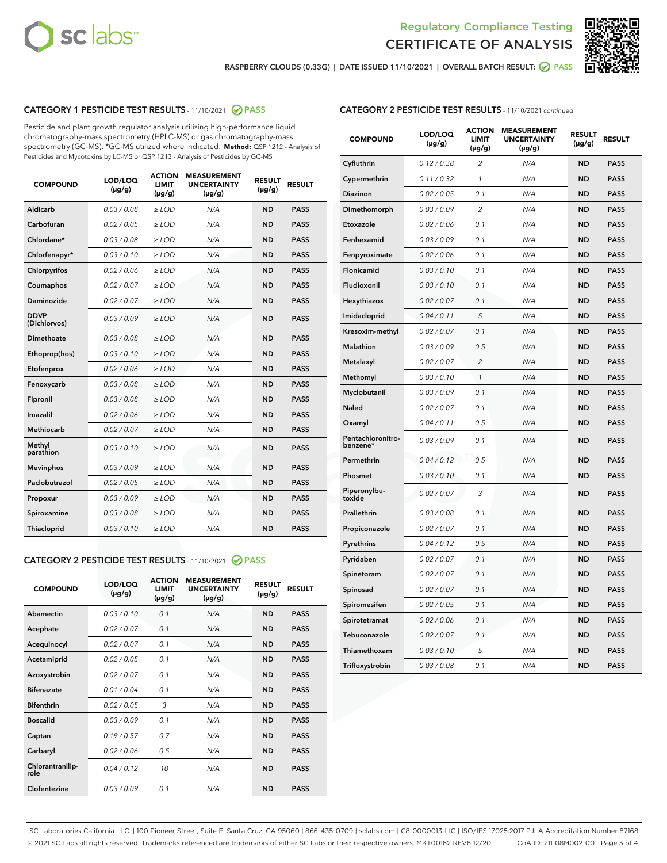



RASPBERRY CLOUDS (0.33G) | DATE ISSUED 11/10/2021 | OVERALL BATCH RESULT: @ PASS

# CATEGORY 1 PESTICIDE TEST RESULTS - 11/10/2021 2 PASS

Pesticide and plant growth regulator analysis utilizing high-performance liquid chromatography-mass spectrometry (HPLC-MS) or gas chromatography-mass spectrometry (GC-MS). \*GC-MS utilized where indicated. **Method:** QSP 1212 - Analysis of Pesticides and Mycotoxins by LC-MS or QSP 1213 - Analysis of Pesticides by GC-MS

| <b>COMPOUND</b>             | LOD/LOQ<br>$(\mu g/g)$ | <b>ACTION</b><br><b>LIMIT</b><br>$(\mu g/g)$ | <b>MEASUREMENT</b><br><b>UNCERTAINTY</b><br>$(\mu g/g)$ | <b>RESULT</b><br>$(\mu g/g)$ | <b>RESULT</b> |
|-----------------------------|------------------------|----------------------------------------------|---------------------------------------------------------|------------------------------|---------------|
| Aldicarb                    | 0.03/0.08              | $>$ LOD                                      | N/A                                                     | <b>ND</b>                    | <b>PASS</b>   |
| Carbofuran                  | 0.02 / 0.05            | $\ge$ LOD                                    | N/A                                                     | <b>ND</b>                    | <b>PASS</b>   |
| Chlordane*                  | 0.03/0.08              | $>$ LOD                                      | N/A                                                     | <b>ND</b>                    | <b>PASS</b>   |
| Chlorfenapyr*               | 0.03/0.10              | $\ge$ LOD                                    | N/A                                                     | <b>ND</b>                    | <b>PASS</b>   |
| Chlorpyrifos                | 0.02 / 0.06            | $\ge$ LOD                                    | N/A                                                     | <b>ND</b>                    | <b>PASS</b>   |
| Coumaphos                   | 0.02 / 0.07            | $\ge$ LOD                                    | N/A                                                     | <b>ND</b>                    | <b>PASS</b>   |
| Daminozide                  | 0.02 / 0.07            | $\ge$ LOD                                    | N/A                                                     | <b>ND</b>                    | <b>PASS</b>   |
| <b>DDVP</b><br>(Dichlorvos) | 0.03/0.09              | $\ge$ LOD                                    | N/A                                                     | <b>ND</b>                    | <b>PASS</b>   |
| <b>Dimethoate</b>           | 0.03 / 0.08            | $\ge$ LOD                                    | N/A                                                     | <b>ND</b>                    | <b>PASS</b>   |
| Ethoprop(hos)               | 0.03/0.10              | $\ge$ LOD                                    | N/A                                                     | <b>ND</b>                    | <b>PASS</b>   |
| Etofenprox                  | 0.02 / 0.06            | $\ge$ LOD                                    | N/A                                                     | <b>ND</b>                    | <b>PASS</b>   |
| Fenoxycarb                  | 0.03 / 0.08            | $\ge$ LOD                                    | N/A                                                     | <b>ND</b>                    | <b>PASS</b>   |
| Fipronil                    | 0.03/0.08              | $>$ LOD                                      | N/A                                                     | <b>ND</b>                    | <b>PASS</b>   |
| Imazalil                    | 0.02 / 0.06            | $\ge$ LOD                                    | N/A                                                     | <b>ND</b>                    | <b>PASS</b>   |
| Methiocarb                  | 0.02 / 0.07            | $\ge$ LOD                                    | N/A                                                     | <b>ND</b>                    | <b>PASS</b>   |
| Methyl<br>parathion         | 0.03/0.10              | $\ge$ LOD                                    | N/A                                                     | <b>ND</b>                    | <b>PASS</b>   |
| <b>Mevinphos</b>            | 0.03/0.09              | $\ge$ LOD                                    | N/A                                                     | <b>ND</b>                    | <b>PASS</b>   |
| Paclobutrazol               | 0.02 / 0.05            | $>$ LOD                                      | N/A                                                     | <b>ND</b>                    | <b>PASS</b>   |
| Propoxur                    | 0.03/0.09              | $\ge$ LOD                                    | N/A                                                     | <b>ND</b>                    | <b>PASS</b>   |
| Spiroxamine                 | 0.03 / 0.08            | $\ge$ LOD                                    | N/A                                                     | <b>ND</b>                    | <b>PASS</b>   |
| Thiacloprid                 | 0.03/0.10              | $\ge$ LOD                                    | N/A                                                     | <b>ND</b>                    | <b>PASS</b>   |

#### CATEGORY 2 PESTICIDE TEST RESULTS - 11/10/2021 @ PASS

| <b>COMPOUND</b>          | LOD/LOO<br>$(\mu g/g)$ | <b>ACTION</b><br>LIMIT<br>$(\mu g/g)$ | <b>MEASUREMENT</b><br><b>UNCERTAINTY</b><br>$(\mu g/g)$ | <b>RESULT</b><br>$(\mu g/g)$ | <b>RESULT</b> |
|--------------------------|------------------------|---------------------------------------|---------------------------------------------------------|------------------------------|---------------|
| Abamectin                | 0.03/0.10              | 0.1                                   | N/A                                                     | <b>ND</b>                    | <b>PASS</b>   |
| Acephate                 | 0.02/0.07              | 0.1                                   | N/A                                                     | <b>ND</b>                    | <b>PASS</b>   |
| Acequinocyl              | 0.02/0.07              | 0.1                                   | N/A                                                     | <b>ND</b>                    | <b>PASS</b>   |
| Acetamiprid              | 0.02/0.05              | 0.1                                   | N/A                                                     | <b>ND</b>                    | <b>PASS</b>   |
| Azoxystrobin             | 0.02/0.07              | 0.1                                   | N/A                                                     | <b>ND</b>                    | <b>PASS</b>   |
| <b>Bifenazate</b>        | 0.01 / 0.04            | 0.1                                   | N/A                                                     | <b>ND</b>                    | <b>PASS</b>   |
| <b>Bifenthrin</b>        | 0.02 / 0.05            | 3                                     | N/A                                                     | <b>ND</b>                    | <b>PASS</b>   |
| <b>Boscalid</b>          | 0.03/0.09              | 0.1                                   | N/A                                                     | <b>ND</b>                    | <b>PASS</b>   |
| Captan                   | 0.19/0.57              | 0.7                                   | N/A                                                     | <b>ND</b>                    | <b>PASS</b>   |
| Carbaryl                 | 0.02/0.06              | 0.5                                   | N/A                                                     | <b>ND</b>                    | <b>PASS</b>   |
| Chlorantranilip-<br>role | 0.04/0.12              | 10                                    | N/A                                                     | <b>ND</b>                    | <b>PASS</b>   |
| Clofentezine             | 0.03/0.09              | 0.1                                   | N/A                                                     | <b>ND</b>                    | <b>PASS</b>   |

# CATEGORY 2 PESTICIDE TEST RESULTS - 11/10/2021 continued

| <b>COMPOUND</b>               | LOD/LOQ<br>(µg/g) | <b>ACTION</b><br><b>LIMIT</b><br>$(\mu g/g)$ | <b>MEASUREMENT</b><br><b>UNCERTAINTY</b><br>$(\mu g/g)$ | <b>RESULT</b><br>(µg/g) | <b>RESULT</b> |
|-------------------------------|-------------------|----------------------------------------------|---------------------------------------------------------|-------------------------|---------------|
| Cyfluthrin                    | 0.12 / 0.38       | $\overline{c}$                               | N/A                                                     | ND                      | <b>PASS</b>   |
| Cypermethrin                  | 0.11 / 0.32       | $\mathcal{I}$                                | N/A                                                     | ND                      | <b>PASS</b>   |
| Diazinon                      | 0.02 / 0.05       | 0.1                                          | N/A                                                     | <b>ND</b>               | <b>PASS</b>   |
| Dimethomorph                  | 0.03 / 0.09       | $\overline{c}$                               | N/A                                                     | ND                      | <b>PASS</b>   |
| Etoxazole                     | 0.02 / 0.06       | 0.1                                          | N/A                                                     | ND                      | <b>PASS</b>   |
| Fenhexamid                    | 0.03 / 0.09       | 0.1                                          | N/A                                                     | <b>ND</b>               | <b>PASS</b>   |
| Fenpyroximate                 | 0.02 / 0.06       | 0.1                                          | N/A                                                     | ND                      | <b>PASS</b>   |
| Flonicamid                    | 0.03 / 0.10       | 0.1                                          | N/A                                                     | ND                      | <b>PASS</b>   |
| Fludioxonil                   | 0.03 / 0.10       | 0.1                                          | N/A                                                     | ND                      | <b>PASS</b>   |
| Hexythiazox                   | 0.02 / 0.07       | 0.1                                          | N/A                                                     | ND                      | <b>PASS</b>   |
| Imidacloprid                  | 0.04 / 0.11       | 5                                            | N/A                                                     | ND                      | <b>PASS</b>   |
| Kresoxim-methyl               | 0.02 / 0.07       | 0.1                                          | N/A                                                     | ND                      | <b>PASS</b>   |
| <b>Malathion</b>              | 0.03 / 0.09       | 0.5                                          | N/A                                                     | ND                      | <b>PASS</b>   |
| Metalaxyl                     | 0.02 / 0.07       | $\overline{c}$                               | N/A                                                     | ND                      | <b>PASS</b>   |
| Methomyl                      | 0.03 / 0.10       | 1                                            | N/A                                                     | <b>ND</b>               | <b>PASS</b>   |
| Myclobutanil                  | 0.03 / 0.09       | 0.1                                          | N/A                                                     | ND                      | <b>PASS</b>   |
| Naled                         | 0.02 / 0.07       | 0.1                                          | N/A                                                     | ND                      | <b>PASS</b>   |
| Oxamyl                        | 0.04 / 0.11       | 0.5                                          | N/A                                                     | ND                      | <b>PASS</b>   |
| Pentachloronitro-<br>benzene* | 0.03 / 0.09       | 0.1                                          | N/A                                                     | ND                      | <b>PASS</b>   |
| Permethrin                    | 0.04 / 0.12       | 0.5                                          | N/A                                                     | ND                      | <b>PASS</b>   |
| Phosmet                       | 0.03 / 0.10       | 0.1                                          | N/A                                                     | ND                      | <b>PASS</b>   |
| Piperonylbu-<br>toxide        | 0.02 / 0.07       | 3                                            | N/A                                                     | ND                      | <b>PASS</b>   |
| Prallethrin                   | 0.03 / 0.08       | 0.1                                          | N/A                                                     | ND                      | <b>PASS</b>   |
| Propiconazole                 | 0.02 / 0.07       | 0.1                                          | N/A                                                     | ND                      | <b>PASS</b>   |
| Pyrethrins                    | 0.04 / 0.12       | 0.5                                          | N/A                                                     | ND                      | <b>PASS</b>   |
| Pyridaben                     | 0.02 / 0.07       | 0.1                                          | N/A                                                     | ND                      | <b>PASS</b>   |
| Spinetoram                    | 0.02 / 0.07       | 0.1                                          | N/A                                                     | ND                      | <b>PASS</b>   |
| Spinosad                      | 0.02 / 0.07       | 0.1                                          | N/A                                                     | ND                      | <b>PASS</b>   |
| Spiromesifen                  | 0.02 / 0.05       | 0.1                                          | N/A                                                     | <b>ND</b>               | <b>PASS</b>   |
| Spirotetramat                 | 0.02 / 0.06       | 0.1                                          | N/A                                                     | ND                      | <b>PASS</b>   |
| Tebuconazole                  | 0.02 / 0.07       | 0.1                                          | N/A                                                     | ND                      | <b>PASS</b>   |
| Thiamethoxam                  | 0.03 / 0.10       | 5                                            | N/A                                                     | ND                      | <b>PASS</b>   |
| Trifloxystrobin               | 0.03 / 0.08       | 0.1                                          | N/A                                                     | <b>ND</b>               | <b>PASS</b>   |

SC Laboratories California LLC. | 100 Pioneer Street, Suite E, Santa Cruz, CA 95060 | 866-435-0709 | sclabs.com | C8-0000013-LIC | ISO/IES 17025:2017 PJLA Accreditation Number 87168 © 2021 SC Labs all rights reserved. Trademarks referenced are trademarks of either SC Labs or their respective owners. MKT00162 REV6 12/20 CoA ID: 211108M002-001 Page 3 of 4